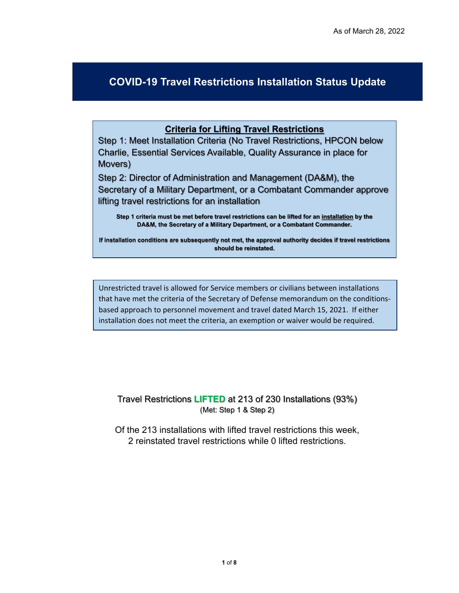## **COVID-19 Travel Restrictions Installation Status Update**

## **Criteria for Lifting Travel Restrictions**

Step 1: Meet Installation Criteria (No Travel Restrictions, HPCON below Charlie, Essential Services Available, Quality Assurance in place for Movers)

Step 2: Director of Administration and Management (DA&M), the Secretary of a Military Department, or a Combatant Commander approve lifting travel restrictions for an installation

**Step 1 criteria must be met before travel restrictions can be lifted for an installation by the DA&M, the Secretary of a Military Department, or a Combatant Commander.** 

**If installation conditions are subsequently not met, the approval authority decides if travel restrictions should be reinstated.** 

Unrestricted travel is allowed for Service members or civilians between installations that have met the criteria of the Secretary of Defense memorandum on the conditionsbased approach to personnel movement and travel dated March 15, 2021. If either installation does not meet the criteria, an exemption or waiver would be required.

Travel Restrictions **LIFTED** at 213 of 230 Installations (93%) (Met: Step 1 & Step 2)

Of the 213 installations with lifted travel restrictions this week, 2 reinstated travel restrictions while 0 lifted restrictions.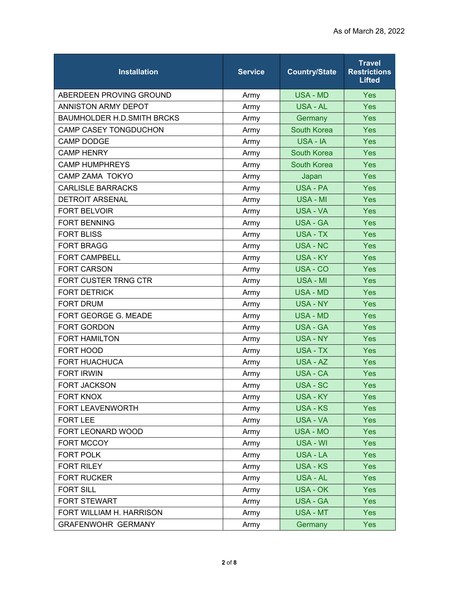| <b>Installation</b>               | <b>Service</b> | <b>Country/State</b> | <b>Travel</b><br><b>Restrictions</b><br><b>Lifted</b> |
|-----------------------------------|----------------|----------------------|-------------------------------------------------------|
| ABERDEEN PROVING GROUND           | Army           | USA - MD             | <b>Yes</b>                                            |
| ANNISTON ARMY DEPOT               | Army           | USA - AL             | Yes                                                   |
| <b>BAUMHOLDER H.D.SMITH BRCKS</b> | Army           | Germany              | Yes                                                   |
| CAMP CASEY TONGDUCHON             | Army           | <b>South Korea</b>   | Yes                                                   |
| <b>CAMP DODGE</b>                 | Army           | USA - IA             | Yes                                                   |
| <b>CAMP HENRY</b>                 | Army           | <b>South Korea</b>   | Yes                                                   |
| <b>CAMP HUMPHREYS</b>             | Army           | <b>South Korea</b>   | Yes                                                   |
| <b>CAMP ZAMA TOKYO</b>            | Army           | Japan                | Yes                                                   |
| <b>CARLISLE BARRACKS</b>          | Army           | USA - PA             | Yes                                                   |
| <b>DETROIT ARSENAL</b>            | Army           | USA - MI             | Yes                                                   |
| <b>FORT BELVOIR</b>               | Army           | USA - VA             | Yes                                                   |
| <b>FORT BENNING</b>               | Army           | <b>USA - GA</b>      | Yes                                                   |
| <b>FORT BLISS</b>                 | Army           | <b>USA - TX</b>      | <b>Yes</b>                                            |
| <b>FORT BRAGG</b>                 | Army           | <b>USA - NC</b>      | Yes                                                   |
| <b>FORT CAMPBELL</b>              | Army           | <b>USA - KY</b>      | Yes                                                   |
| <b>FORT CARSON</b>                | Army           | USA - CO             | Yes                                                   |
| FORT CUSTER TRNG CTR              | Army           | <b>USA - MI</b>      | Yes                                                   |
| <b>FORT DETRICK</b>               | Army           | <b>USA - MD</b>      | Yes                                                   |
| <b>FORT DRUM</b>                  | Army           | <b>USA - NY</b>      | Yes                                                   |
| FORT GEORGE G. MEADE              | Army           | USA - MD             | Yes                                                   |
| FORT GORDON                       | Army           | <b>USA - GA</b>      | Yes                                                   |
| <b>FORT HAMILTON</b>              | Army           | <b>USA - NY</b>      | <b>Yes</b>                                            |
| FORT HOOD                         | Army           | <b>USA - TX</b>      | <b>Yes</b>                                            |
| <b>FORT HUACHUCA</b>              | Army           | USA - AZ             | Yes                                                   |
| <b>FORT IRWIN</b>                 | Army           | <b>USA - CA</b>      | <b>Yes</b>                                            |
| <b>FORT JACKSON</b>               | Army           | USA - SC             | Yes                                                   |
| <b>FORT KNOX</b>                  | Army           | <b>USA - KY</b>      | Yes                                                   |
| FORT LEAVENWORTH                  | Army           | <b>USA - KS</b>      | <b>Yes</b>                                            |
| <b>FORT LEE</b>                   | Army           | <b>USA - VA</b>      | Yes                                                   |
| FORT LEONARD WOOD                 | Army           | USA - MO             | <b>Yes</b>                                            |
| FORT MCCOY                        | Army           | USA - WI             | Yes                                                   |
| <b>FORT POLK</b>                  | Army           | <b>USA - LA</b>      | Yes                                                   |
| <b>FORT RILEY</b>                 | Army           | <b>USA - KS</b>      | <b>Yes</b>                                            |
| <b>FORT RUCKER</b>                | Army           | <b>USA - AL</b>      | <b>Yes</b>                                            |
| <b>FORT SILL</b>                  | Army           | USA - OK             | Yes                                                   |
| <b>FORT STEWART</b>               | Army           | <b>USA - GA</b>      | Yes                                                   |
| FORT WILLIAM H. HARRISON          | Army           | USA - MT             | <b>Yes</b>                                            |
| <b>GRAFENWOHR GERMANY</b>         | Army           | Germany              | <b>Yes</b>                                            |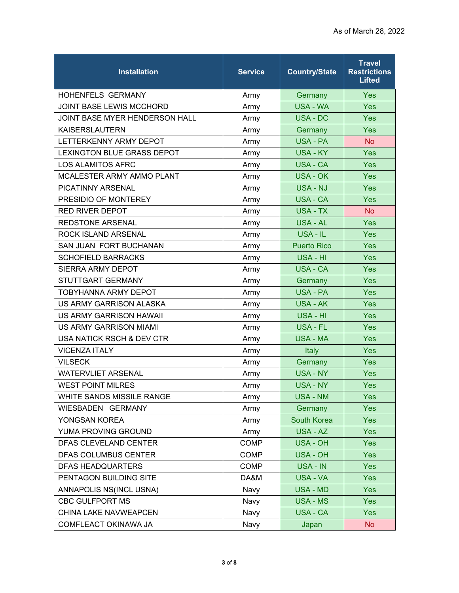| <b>Installation</b>               | <b>Service</b> | <b>Country/State</b> | <b>Travel</b><br><b>Restrictions</b><br><b>Lifted</b> |
|-----------------------------------|----------------|----------------------|-------------------------------------------------------|
| <b>HOHENFELS GERMANY</b>          | Army           | Germany              | <b>Yes</b>                                            |
| <b>JOINT BASE LEWIS MCCHORD</b>   | Army           | <b>USA - WA</b>      | Yes                                                   |
| JOINT BASE MYER HENDERSON HALL    | Army           | USA - DC             | Yes                                                   |
| <b>KAISERSLAUTERN</b>             | Army           | Germany              | Yes                                                   |
| LETTERKENNY ARMY DEPOT            | Army           | <b>USA - PA</b>      | <b>No</b>                                             |
| <b>LEXINGTON BLUE GRASS DEPOT</b> | Army           | <b>USA - KY</b>      | <b>Yes</b>                                            |
| <b>LOS ALAMITOS AFRC</b>          | Army           | USA - CA             | Yes                                                   |
| <b>MCALESTER ARMY AMMO PLANT</b>  | Army           | USA - OK             | <b>Yes</b>                                            |
| PICATINNY ARSENAL                 | Army           | <b>USA - NJ</b>      | Yes                                                   |
| PRESIDIO OF MONTEREY              | Army           | USA - CA             | Yes                                                   |
| <b>RED RIVER DEPOT</b>            | Army           | USA - TX             | <b>No</b>                                             |
| <b>REDSTONE ARSENAL</b>           | Army           | <b>USA - AL</b>      | Yes                                                   |
| <b>ROCK ISLAND ARSENAL</b>        | Army           | USA - IL             | <b>Yes</b>                                            |
| SAN JUAN FORT BUCHANAN            | Army           | <b>Puerto Rico</b>   | Yes                                                   |
| <b>SCHOFIELD BARRACKS</b>         | Army           | USA - HI             | Yes                                                   |
| <b>SIERRA ARMY DEPOT</b>          | Army           | <b>USA - CA</b>      | Yes                                                   |
| STUTTGART GERMANY                 | Army           | Germany              | <b>Yes</b>                                            |
| <b>TOBYHANNA ARMY DEPOT</b>       | Army           | USA - PA             | Yes                                                   |
| US ARMY GARRISON ALASKA           | Army           | USA - AK             | Yes                                                   |
| US ARMY GARRISON HAWAII           | Army           | USA - HI             | <b>Yes</b>                                            |
| <b>US ARMY GARRISON MIAMI</b>     | Army           | <b>USA - FL</b>      | Yes                                                   |
| USA NATICK RSCH & DEV CTR         | Army           | USA - MA             | Yes                                                   |
| <b>VICENZA ITALY</b>              | Army           | Italy                | <b>Yes</b>                                            |
| <b>VILSECK</b>                    | Army           | Germany              | Yes                                                   |
| <b>WATERVLIET ARSENAL</b>         | Army           | <b>USA - NY</b>      | Yes                                                   |
| <b>WEST POINT MILRES</b>          | Army           | USA - NY             | Yes                                                   |
| WHITE SANDS MISSILE RANGE         | Army           | <b>USA - NM</b>      | <b>Yes</b>                                            |
| WIESBADEN GERMANY                 | Army           | Germany              | <b>Yes</b>                                            |
| YONGSAN KOREA                     | Army           | South Korea          | <b>Yes</b>                                            |
| YUMA PROVING GROUND               | Army           | USA - AZ             | <b>Yes</b>                                            |
| DFAS CLEVELAND CENTER             | <b>COMP</b>    | USA - OH             | <b>Yes</b>                                            |
| DFAS COLUMBUS CENTER              | <b>COMP</b>    | USA - OH             | <b>Yes</b>                                            |
| <b>DFAS HEADQUARTERS</b>          | <b>COMP</b>    | USA - IN             | <b>Yes</b>                                            |
| PENTAGON BUILDING SITE            | DA&M           | USA - VA             | <b>Yes</b>                                            |
| ANNAPOLIS NS(INCL USNA)           | Navy           | <b>USA - MD</b>      | <b>Yes</b>                                            |
| CBC GULFPORT MS                   | Navy           | <b>USA - MS</b>      | <b>Yes</b>                                            |
| CHINA LAKE NAVWEAPCEN             | Navy           | USA - CA             | Yes                                                   |
| COMFLEACT OKINAWA JA              | Navy           | Japan                | <b>No</b>                                             |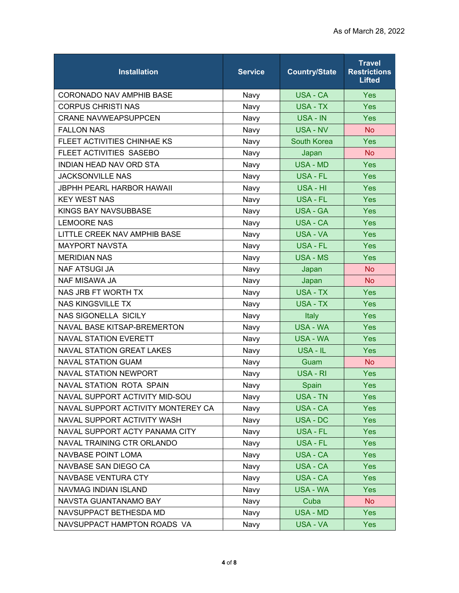| <b>Installation</b>                | <b>Service</b> | <b>Country/State</b> | <b>Travel</b><br><b>Restrictions</b><br><b>Lifted</b> |
|------------------------------------|----------------|----------------------|-------------------------------------------------------|
| <b>CORONADO NAV AMPHIB BASE</b>    | Navy           | <b>USA - CA</b>      | <b>Yes</b>                                            |
| <b>CORPUS CHRISTI NAS</b>          | Navy           | USA - TX             | Yes                                                   |
| <b>CRANE NAVWEAPSUPPCEN</b>        | Navy           | USA - IN             | Yes                                                   |
| <b>FALLON NAS</b>                  | Navy           | <b>USA - NV</b>      | <b>No</b>                                             |
| FLEET ACTIVITIES CHINHAE KS        | Navy           | <b>South Korea</b>   | Yes                                                   |
| FLEET ACTIVITIES SASEBO            | Navy           | Japan                | <b>No</b>                                             |
| INDIAN HEAD NAV ORD STA            | Navy           | <b>USA - MD</b>      | Yes                                                   |
| <b>JACKSONVILLE NAS</b>            | Navy           | USA - FL             | Yes                                                   |
| <b>JBPHH PEARL HARBOR HAWAII</b>   | Navy           | USA - HI             | Yes                                                   |
| <b>KEY WEST NAS</b>                | Navy           | USA - FL             | Yes                                                   |
| KINGS BAY NAVSUBBASE               | Navy           | <b>USA - GA</b>      | Yes                                                   |
| <b>LEMOORE NAS</b>                 | Navy           | USA - CA             | Yes                                                   |
| LITTLE CREEK NAV AMPHIB BASE       | Navy           | USA - VA             | <b>Yes</b>                                            |
| <b>MAYPORT NAVSTA</b>              | Navy           | <b>USA - FL</b>      | Yes                                                   |
| <b>MERIDIAN NAS</b>                | Navy           | USA - MS             | Yes                                                   |
| <b>NAF ATSUGI JA</b>               | Navy           | Japan                | <b>No</b>                                             |
| NAF MISAWA JA                      | Navy           | Japan                | <b>No</b>                                             |
| NAS JRB FT WORTH TX                | Navy           | USA - TX             | Yes                                                   |
| <b>NAS KINGSVILLE TX</b>           | Navy           | <b>USA - TX</b>      | Yes                                                   |
| <b>NAS SIGONELLA SICILY</b>        | Navy           | Italy                | Yes                                                   |
| NAVAL BASE KITSAP-BREMERTON        | Navy           | <b>USA - WA</b>      | Yes                                                   |
| <b>NAVAL STATION EVERETT</b>       | Navy           | <b>USA - WA</b>      | Yes                                                   |
| <b>NAVAL STATION GREAT LAKES</b>   | Navy           | USA - IL             | Yes                                                   |
| <b>NAVAL STATION GUAM</b>          | Navy           | Guam                 | <b>No</b>                                             |
| <b>NAVAL STATION NEWPORT</b>       | Navy           | USA - RI             | <b>Yes</b>                                            |
| <b>NAVAL STATION ROTA SPAIN</b>    | Navy           | Spain                | Yes                                                   |
| NAVAL SUPPORT ACTIVITY MID-SOU     | Navy           | <b>USA - TN</b>      | <b>Yes</b>                                            |
| NAVAL SUPPORT ACTIVITY MONTEREY CA | Navy           | USA - CA             | <b>Yes</b>                                            |
| NAVAL SUPPORT ACTIVITY WASH        | Navy           | USA - DC             | Yes                                                   |
| NAVAL SUPPORT ACTY PANAMA CITY     | Navy           | USA - FL             | <b>Yes</b>                                            |
| NAVAL TRAINING CTR ORLANDO         | Navy           | USA - FL             | <b>Yes</b>                                            |
| <b>NAVBASE POINT LOMA</b>          | Navy           | USA - CA             | <b>Yes</b>                                            |
| NAVBASE SAN DIEGO CA               | Navy           | USA - CA             | <b>Yes</b>                                            |
| NAVBASE VENTURA CTY                | Navy           | USA - CA             | <b>Yes</b>                                            |
| NAVMAG INDIAN ISLAND               | Navy           | <b>USA - WA</b>      | Yes                                                   |
| NAVSTA GUANTANAMO BAY              | Navy           | Cuba                 | <b>No</b>                                             |
| NAVSUPPACT BETHESDA MD             | Navy           | <b>USA - MD</b>      | <b>Yes</b>                                            |
| NAVSUPPACT HAMPTON ROADS VA        | Navy           | USA - VA             | <b>Yes</b>                                            |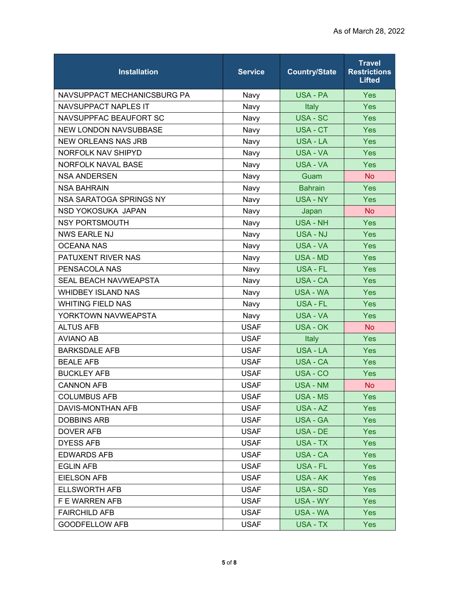| <b>Installation</b>          | <b>Service</b> | <b>Country/State</b> | <b>Travel</b><br><b>Restrictions</b><br><b>Lifted</b> |
|------------------------------|----------------|----------------------|-------------------------------------------------------|
| NAVSUPPACT MECHANICSBURG PA  | Navy           | USA - PA             | <b>Yes</b>                                            |
| <b>NAVSUPPACT NAPLES IT</b>  | Navy           | Italy                | Yes                                                   |
| NAVSUPPFAC BEAUFORT SC       | Navy           | <b>USA - SC</b>      | Yes                                                   |
| <b>NEW LONDON NAVSUBBASE</b> | Navy           | USA - CT             | <b>Yes</b>                                            |
| <b>NEW ORLEANS NAS JRB</b>   | Navy           | USA - LA             | Yes                                                   |
| NORFOLK NAV SHIPYD           | Navy           | USA - VA             | <b>Yes</b>                                            |
| NORFOLK NAVAL BASE           | Navy           | USA - VA             | Yes                                                   |
| <b>NSA ANDERSEN</b>          | Navy           | Guam                 | <b>No</b>                                             |
| <b>NSA BAHRAIN</b>           | Navy           | <b>Bahrain</b>       | Yes                                                   |
| NSA SARATOGA SPRINGS NY      | Navy           | USA - NY             | Yes                                                   |
| NSD YOKOSUKA JAPAN           | Navy           | Japan                | <b>No</b>                                             |
| <b>NSY PORTSMOUTH</b>        | Navy           | <b>USA - NH</b>      | Yes                                                   |
| <b>NWS EARLE NJ</b>          | Navy           | USA - NJ             | <b>Yes</b>                                            |
| <b>OCEANA NAS</b>            | Navy           | USA - VA             | Yes                                                   |
| PATUXENT RIVER NAS           | Navy           | USA - MD             | Yes                                                   |
| PENSACOLA NAS                | Navy           | USA - FL             | Yes                                                   |
| <b>SEAL BEACH NAVWEAPSTA</b> | Navy           | USA - CA             | Yes                                                   |
| <b>WHIDBEY ISLAND NAS</b>    | Navy           | USA - WA             | Yes                                                   |
| <b>WHITING FIELD NAS</b>     | Navy           | <b>USA - FL</b>      | Yes                                                   |
| YORKTOWN NAVWEAPSTA          | Navy           | USA - VA             | Yes                                                   |
| <b>ALTUS AFB</b>             | <b>USAF</b>    | <b>USA - OK</b>      | <b>No</b>                                             |
| <b>AVIANO AB</b>             | <b>USAF</b>    | Italy                | Yes                                                   |
| <b>BARKSDALE AFB</b>         | <b>USAF</b>    | USA - LA             | <b>Yes</b>                                            |
| <b>BEALE AFB</b>             | <b>USAF</b>    | USA - CA             | Yes                                                   |
| <b>BUCKLEY AFB</b>           | <b>USAF</b>    | USA - CO             | Yes                                                   |
| <b>CANNON AFB</b>            | <b>USAF</b>    | <b>USA - NM</b>      | <b>No</b>                                             |
| <b>COLUMBUS AFB</b>          | <b>USAF</b>    | <b>USA - MS</b>      | <b>Yes</b>                                            |
| DAVIS-MONTHAN AFB            | <b>USAF</b>    | USA - AZ             | <b>Yes</b>                                            |
| <b>DOBBINS ARB</b>           | <b>USAF</b>    | <b>USA - GA</b>      | <b>Yes</b>                                            |
| DOVER AFB                    | <b>USAF</b>    | USA - DE             | <b>Yes</b>                                            |
| <b>DYESS AFB</b>             | <b>USAF</b>    | USA - TX             | <b>Yes</b>                                            |
| <b>EDWARDS AFB</b>           | <b>USAF</b>    | USA - CA             | <b>Yes</b>                                            |
| <b>EGLIN AFB</b>             | <b>USAF</b>    | USA - FL             | <b>Yes</b>                                            |
| <b>EIELSON AFB</b>           | <b>USAF</b>    | USA - AK             | <b>Yes</b>                                            |
| <b>ELLSWORTH AFB</b>         | <b>USAF</b>    | USA - SD             | <b>Yes</b>                                            |
| F E WARREN AFB               | <b>USAF</b>    | USA - WY             | <b>Yes</b>                                            |
| <b>FAIRCHILD AFB</b>         | <b>USAF</b>    | USA - WA             | Yes:                                                  |
| <b>GOODFELLOW AFB</b>        | <b>USAF</b>    | USA - TX             | <b>Yes</b>                                            |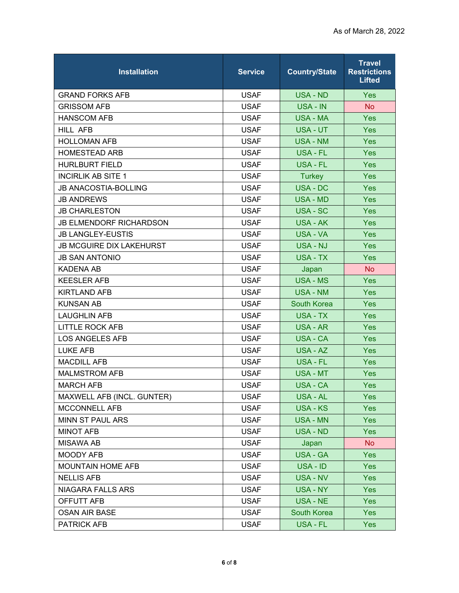| <b>Installation</b>             | <b>Service</b> | <b>Country/State</b> | <b>Travel</b><br><b>Restrictions</b><br><b>Lifted</b> |
|---------------------------------|----------------|----------------------|-------------------------------------------------------|
| <b>GRAND FORKS AFB</b>          | <b>USAF</b>    | USA - ND             | Yes                                                   |
| <b>GRISSOM AFB</b>              | <b>USAF</b>    | USA - IN             | <b>No</b>                                             |
| <b>HANSCOM AFB</b>              | <b>USAF</b>    | <b>USA - MA</b>      | Yes                                                   |
| <b>HILL AFB</b>                 | <b>USAF</b>    | <b>USA - UT</b>      | <b>Yes</b>                                            |
| <b>HOLLOMAN AFB</b>             | <b>USAF</b>    | <b>USA - NM</b>      | Yes                                                   |
| <b>HOMESTEAD ARB</b>            | <b>USAF</b>    | USA - FL             | <b>Yes</b>                                            |
| <b>HURLBURT FIELD</b>           | <b>USAF</b>    | USA - FL             | <b>Yes</b>                                            |
| <b>INCIRLIK AB SITE 1</b>       | <b>USAF</b>    | <b>Turkey</b>        | <b>Yes</b>                                            |
| <b>JB ANACOSTIA-BOLLING</b>     | <b>USAF</b>    | <b>USA - DC</b>      | Yes                                                   |
| <b>JB ANDREWS</b>               | <b>USAF</b>    | <b>USA - MD</b>      | <b>Yes</b>                                            |
| <b>JB CHARLESTON</b>            | <b>USAF</b>    | USA - SC             | Yes                                                   |
| <b>JB ELMENDORF RICHARDSON</b>  | <b>USAF</b>    | USA - AK             | <b>Yes</b>                                            |
| <b>JB LANGLEY-EUSTIS</b>        | <b>USAF</b>    | <b>USA - VA</b>      | <b>Yes</b>                                            |
| <b>JB MCGUIRE DIX LAKEHURST</b> | <b>USAF</b>    | <b>USA - NJ</b>      | Yes                                                   |
| <b>JB SAN ANTONIO</b>           | <b>USAF</b>    | USA - TX             | Yes                                                   |
| <b>KADENA AB</b>                | <b>USAF</b>    | Japan                | <b>No</b>                                             |
| <b>KEESLER AFB</b>              | <b>USAF</b>    | <b>USA - MS</b>      | Yes                                                   |
| <b>KIRTLAND AFB</b>             | <b>USAF</b>    | <b>USA - NM</b>      | <b>Yes</b>                                            |
| <b>KUNSAN AB</b>                | <b>USAF</b>    | <b>South Korea</b>   | <b>Yes</b>                                            |
| <b>LAUGHLIN AFB</b>             | <b>USAF</b>    | USA - TX             | <b>Yes</b>                                            |
| <b>LITTLE ROCK AFB</b>          | <b>USAF</b>    | USA - AR             | Yes                                                   |
| <b>LOS ANGELES AFB</b>          | <b>USAF</b>    | <b>USA - CA</b>      | Yes                                                   |
| <b>LUKE AFB</b>                 | <b>USAF</b>    | USA - AZ             | <b>Yes</b>                                            |
| <b>MACDILL AFB</b>              | <b>USAF</b>    | <b>USA - FL</b>      | <b>Yes</b>                                            |
| <b>MALMSTROM AFB</b>            | <b>USAF</b>    | USA - MT             | <b>Yes</b>                                            |
| <b>MARCH AFB</b>                | <b>USAF</b>    | USA - CA             | Yes                                                   |
| MAXWELL AFB (INCL. GUNTER)      | <b>USAF</b>    | USA - AL             | <b>Yes</b>                                            |
| MCCONNELL AFB                   | <b>USAF</b>    | <b>USA - KS</b>      | <b>Yes</b>                                            |
| MINN ST PAUL ARS                | <b>USAF</b>    | <b>USA - MN</b>      | <b>Yes</b>                                            |
| <b>MINOT AFB</b>                | <b>USAF</b>    | USA - ND             | <b>Yes</b>                                            |
| <b>MISAWA AB</b>                | <b>USAF</b>    | Japan                | <b>No</b>                                             |
| <b>MOODY AFB</b>                | <b>USAF</b>    | USA - GA             | <b>Yes</b>                                            |
| <b>MOUNTAIN HOME AFB</b>        | <b>USAF</b>    | USA - ID             | Yes                                                   |
| <b>NELLIS AFB</b>               | <b>USAF</b>    | USA - NV             | <b>Yes</b>                                            |
| NIAGARA FALLS ARS               | <b>USAF</b>    | USA - NY             | <b>Yes</b>                                            |
| OFFUTT AFB                      | <b>USAF</b>    | USA - NE             | <b>Yes</b>                                            |
| <b>OSAN AIR BASE</b>            | <b>USAF</b>    | South Korea          | Yes:                                                  |
| <b>PATRICK AFB</b>              | <b>USAF</b>    | USA - FL             | Yes                                                   |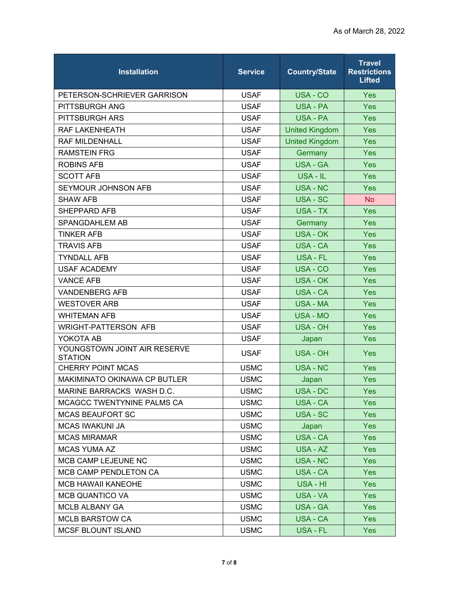| <b>Installation</b>                            | <b>Service</b> | <b>Country/State</b>  | <b>Travel</b><br><b>Restrictions</b><br><b>Lifted</b> |
|------------------------------------------------|----------------|-----------------------|-------------------------------------------------------|
| PETERSON-SCHRIEVER GARRISON                    | <b>USAF</b>    | USA - CO              | <b>Yes</b>                                            |
| PITTSBURGH ANG                                 | <b>USAF</b>    | USA - PA              | Yes                                                   |
| <b>PITTSBURGH ARS</b>                          | <b>USAF</b>    | USA - PA              | Yes                                                   |
| RAF LAKENHEATH                                 | <b>USAF</b>    | <b>United Kingdom</b> | <b>Yes</b>                                            |
| <b>RAF MILDENHALL</b>                          | <b>USAF</b>    | <b>United Kingdom</b> | Yes                                                   |
| <b>RAMSTEIN FRG</b>                            | <b>USAF</b>    | Germany               | <b>Yes</b>                                            |
| <b>ROBINS AFB</b>                              | <b>USAF</b>    | <b>USA - GA</b>       | Yes                                                   |
| <b>SCOTT AFB</b>                               | <b>USAF</b>    | USA - IL              | <b>Yes</b>                                            |
| SEYMOUR JOHNSON AFB                            | <b>USAF</b>    | <b>USA - NC</b>       | Yes                                                   |
| <b>SHAW AFB</b>                                | <b>USAF</b>    | <b>USA - SC</b>       | <b>No</b>                                             |
| <b>SHEPPARD AFB</b>                            | <b>USAF</b>    | <b>USA - TX</b>       | Yes                                                   |
| SPANGDAHLEM AB                                 | <b>USAF</b>    | Germany               | Yes                                                   |
| <b>TINKER AFB</b>                              | <b>USAF</b>    | USA - OK              | Yes                                                   |
| <b>TRAVIS AFB</b>                              | <b>USAF</b>    | <b>USA - CA</b>       | Yes                                                   |
| <b>TYNDALL AFB</b>                             | <b>USAF</b>    | USA - FL              | Yes                                                   |
| <b>USAF ACADEMY</b>                            | <b>USAF</b>    | USA - CO              | Yes                                                   |
| <b>VANCE AFB</b>                               | <b>USAF</b>    | <b>USA - OK</b>       | Yes                                                   |
| <b>VANDENBERG AFB</b>                          | <b>USAF</b>    | <b>USA - CA</b>       | Yes                                                   |
| <b>WESTOVER ARB</b>                            | <b>USAF</b>    | <b>USA - MA</b>       | Yes                                                   |
| <b>WHITEMAN AFB</b>                            | <b>USAF</b>    | USA - MO              | Yes                                                   |
| <b>WRIGHT-PATTERSON AFB</b>                    | <b>USAF</b>    | <b>USA - OH</b>       | Yes                                                   |
| YOKOTA AB                                      | <b>USAF</b>    | Japan                 | <b>Yes</b>                                            |
| YOUNGSTOWN JOINT AIR RESERVE<br><b>STATION</b> | <b>USAF</b>    | USA - OH              | <b>Yes</b>                                            |
| <b>CHERRY POINT MCAS</b>                       | <b>USMC</b>    | <b>USA - NC</b>       | Yes                                                   |
| MAKIMINATO OKINAWA CP BUTLER                   | <b>USMC</b>    | Japan                 | Yes                                                   |
| MARINE BARRACKS WASH D.C.                      | <b>USMC</b>    | USA - DC              | Yes                                                   |
| MCAGCC TWENTYNINE PALMS CA                     | <b>USMC</b>    | USA - CA              | <b>Yes</b>                                            |
| <b>MCAS BEAUFORT SC</b>                        | <b>USMC</b>    | USA - SC              | <b>Yes</b>                                            |
| <b>MCAS IWAKUNI JA</b>                         | <b>USMC</b>    | Japan                 | <b>Yes</b>                                            |
| <b>MCAS MIRAMAR</b>                            | <b>USMC</b>    | USA - CA              | <b>Yes</b>                                            |
| <b>MCAS YUMA AZ</b>                            | <b>USMC</b>    | USA - AZ              | <b>Yes</b>                                            |
| MCB CAMP LEJEUNE NC                            | <b>USMC</b>    | <b>USA - NC</b>       | <b>Yes</b>                                            |
| MCB CAMP PENDLETON CA                          | <b>USMC</b>    | USA - CA              | Yes:                                                  |
| <b>MCB HAWAII KANEOHE</b>                      | <b>USMC</b>    | USA - HI              | <b>Yes</b>                                            |
| <b>MCB QUANTICO VA</b>                         | <b>USMC</b>    | USA - VA              | <b>Yes</b>                                            |
| <b>MCLB ALBANY GA</b>                          | <b>USMC</b>    | <b>USA - GA</b>       | <b>Yes</b>                                            |
| <b>MCLB BARSTOW CA</b>                         | <b>USMC</b>    | USA - CA              | <b>Yes</b>                                            |
| <b>MCSF BLOUNT ISLAND</b>                      | <b>USMC</b>    | USA - FL              | <b>Yes</b>                                            |